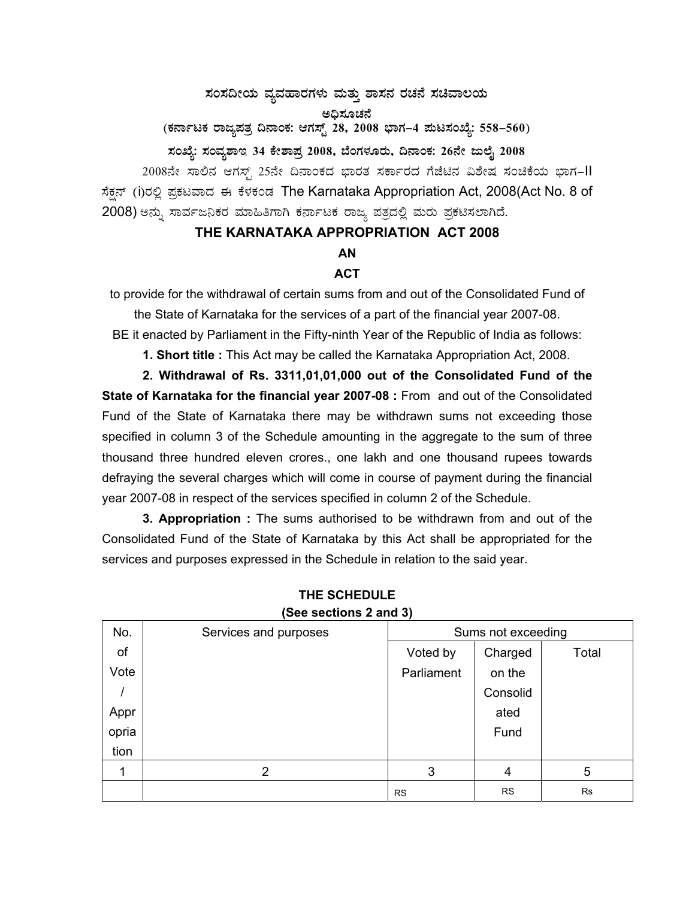# $\,$ ಸಂಸದೀಯ ವ್ಯವಹಾರಗಳು ಮತ್ತು ಶಾಸನ ರಚನೆ ಸಚಿವಾಲಯ ಅಧಿಸೂಚನೆ

(ಕರ್ನಾಟಕ ರಾಜ್ಯಪತ್ರ ದಿನಾಂಕ: ಆಗಸ್ಟ್ 28, 2008 ಭಾಗ–4 **ಮಟಸಂಖ್ಯೆ: 558–560**)

## ಸಂಖ್ಯೆ: ಸಂವ್ಯಶಾಇ 34 ಕೇಶಾಪ್ರ 2008, ಬೆಂಗಳೂರು, ದಿನಾಂಕ: 26ನೇ ಜುಲೈ 2008

2008ನೇ ಸಾಲಿನ ಆಗಸ್ಟ್ 25ನೇ ದಿನಾಂಕದ ಭಾರತ ಸರ್ಕಾರದ ಗೆಜೆಟಿನ ವಿಶೇಷ ಸಂಚಿಕೆಯ ಭಾಗ–II ಸೆಕ್ಷನ್ (i)ರಲ್ಲಿ ಪ್ರಕಟವಾದ ಈ ಕೆಳಕಂಡ The Karnataka Appropriation Act, 2008(Act No. 8 of 2008) ಅನ್ನು ಸಾರ್ವಜನಿಕರ ಮಾಹಿತಿಗಾಗಿ ಕರ್ನಾಟಕ ರಾಜ್ಯ ಪತ್ರದಲ್ಲಿ ಮರು ಪ್ರಕಟಿಸಲಾಗಿದೆ.

## **THE KARNATAKA APPROPRIATION ACT 2008**

## **AN**

#### **ACT**

to provide for the withdrawal of certain sums from and out of the Consolidated Fund of

the State of Karnataka for the services of a part of the financial year 2007-08.

BE it enacted by Parliament in the Fifty-ninth Year of the Republic of India as follows:

**1. Short title :** This Act may be called the Karnataka Appropriation Act, 2008.

**2. Withdrawal of Rs. 3311,01,01,000 out of the Consolidated Fund of the State of Karnataka for the financial year 2007-08 :** From and out of the Consolidated Fund of the State of Karnataka there may be withdrawn sums not exceeding those specified in column 3 of the Schedule amounting in the aggregate to the sum of three thousand three hundred eleven crores., one lakh and one thousand rupees towards defraying the several charges which will come in course of payment during the financial year 2007-08 in respect of the services specified in column 2 of the Schedule.

**3. Appropriation :** The sums authorised to be withdrawn from and out of the Consolidated Fund of the State of Karnataka by this Act shall be appropriated for the services and purposes expressed in the Schedule in relation to the said year.

| No.   | Services and purposes | Sums not exceeding |           |           |
|-------|-----------------------|--------------------|-----------|-----------|
| of    |                       | Voted by           | Charged   | Total     |
| Vote  |                       | Parliament         | on the    |           |
|       |                       |                    | Consolid  |           |
| Appr  |                       |                    | ated      |           |
| opria |                       |                    | Fund      |           |
| tion  |                       |                    |           |           |
|       | 2                     | 3                  | 4         | 5         |
|       |                       | <b>RS</b>          | <b>RS</b> | <b>Rs</b> |

#### **THE SCHEDULE (See sections 2 and 3)**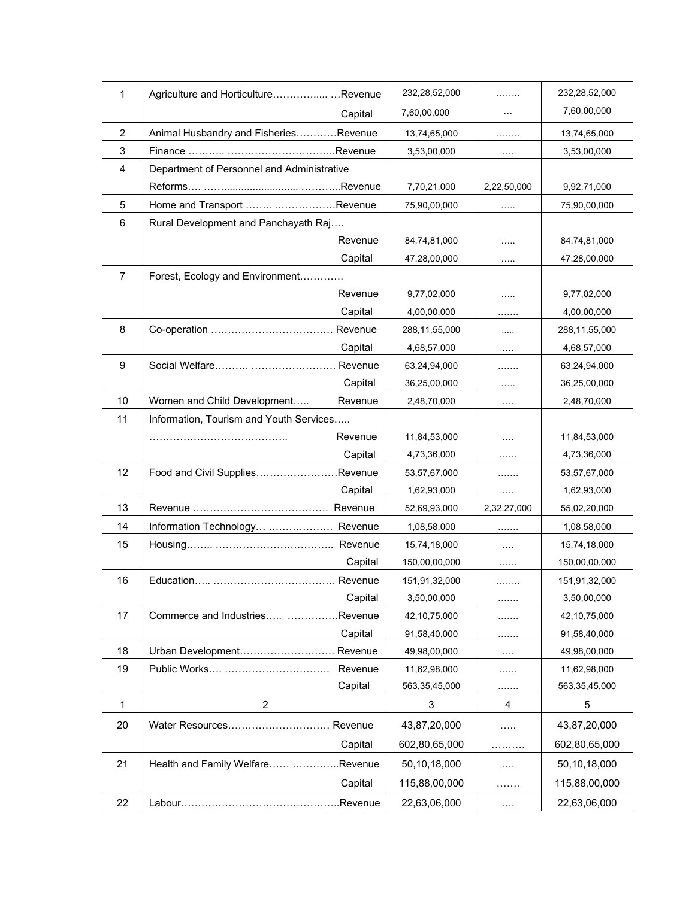| 1              | Agriculture and HorticultureRevenue        | 232,28,52,000 | .                    | 232,28,52,000   |
|----------------|--------------------------------------------|---------------|----------------------|-----------------|
|                | Capital                                    | 7,60,00,000   | $\cdots$             | 7,60,00,000     |
| $\overline{2}$ | Animal Husbandry and FisheriesRevenue      | 13,74,65,000  | .                    | 13,74,65,000    |
| 3              |                                            | 3,53,00,000   | $\sim$ $\sim$ $\sim$ | 3,53,00,000     |
| 4              | Department of Personnel and Administrative |               |                      |                 |
|                |                                            | 7,70,21,000   | 2,22,50,000          | 9,92,71,000     |
| 5              | Home and Transport  Revenue                | 75,90,00,000  | $\cdots$             | 75,90,00,000    |
| 6              | Rural Development and Panchayath Raj       |               |                      |                 |
|                | Revenue                                    | 84,74,81,000  | .                    | 84,74,81,000    |
|                | Capital                                    | 47,28,00,000  | .                    | 47,28,00,000    |
| 7              | Forest, Ecology and Environment            |               |                      |                 |
|                | Revenue                                    | 9,77,02,000   | .                    | 9,77,02,000     |
|                | Capital                                    | 4,00,00,000   | .                    | 4,00,00,000     |
| 8              |                                            | 288,11,55,000 | .                    | 288,11,55,000   |
|                | Capital                                    | 4,68,57,000   | $\cdots$             | 4,68,57,000     |
| 9              |                                            | 63,24,94,000  | .                    | 63,24,94,000    |
|                | Capital                                    | 36,25,00,000  | $\ldots$             | 36,25,00,000    |
| 10             | Women and Child Development<br>Revenue     | 2,48,70,000   | $\cdots$             | 2,48,70,000     |
| 11             | Information, Tourism and Youth Services    |               |                      |                 |
|                | Revenue                                    | 11,84,53,000  | $\cdots$             | 11,84,53,000    |
|                | Capital                                    | 4,73,36,000   | .                    | 4,73,36,000     |
| 12             | Food and Civil SuppliesRevenue             | 53,57,67,000  | .                    | 53,57,67,000    |
|                | Capital                                    | 1,62,93,000   | $\ldots$             | 1,62,93,000     |
| 13             |                                            | 52,69,93,000  | 2,32,27,000          | 55,02,20,000    |
| 14             | Information Technology  Revenue            | 1,08,58,000   | .                    | 1,08,58,000     |
| 15             |                                            | 15,74,18,000  | $\cdots$             | 15,74,18,000    |
|                | Capital                                    | 150,00,00,000 | .                    | 150,00,00,000   |
| 16             |                                            | 151,91,32,000 | .                    | 151,91,32,000   |
|                | Capital                                    | 3,50,00,000   | .                    | 3,50,00,000     |
| 17             | Commerce and Industries Revenue            | 42,10,75,000  | .                    | 42, 10, 75, 000 |
|                | Capital                                    | 91,58,40,000  | .                    | 91,58,40,000    |
| 18             | Urban Development Revenue                  | 49,98,00,000  | $\ldots$             | 49,98,00,000    |
| 19             | Revenue                                    | 11,62,98,000  | .                    | 11,62,98,000    |
|                | Capital                                    | 563,35,45,000 | .                    | 563,35,45,000   |
| 1              | 2                                          | 3             | 4                    | 5               |
| 20             | Water Resources Revenue                    | 43,87,20,000  | .                    | 43,87,20,000    |
|                | Capital                                    | 602,80,65,000 |                      | 602,80,65,000   |
| 21             | Health and Family Welfare Revenue          | 50,10,18,000  | $\cdots$             | 50,10,18,000    |
|                | Capital                                    | 115,88,00,000 | .                    | 115,88,00,000   |
| 22             |                                            | 22,63,06,000  | $\cdots$             | 22,63,06,000    |